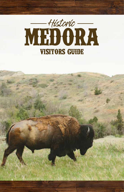

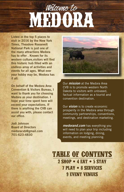### **MEDORA** Welcome to

**Listed in the top 5 places to visit in 2016 by the New York Times, Theodore Roosevelt National Park is just one of the many attractions Medora has to offer . Known for its western culture,visitors will find this historic hub filled with an endless array of activities and events for all ages. What ever your hobby may be, Medora has it all.**

**On behalf of the Medora Area Convention & Visitors Bureau, I want to thank you for choosing Medora as your destination. I hope your time spent here will exceed your expectations. If there is anything the CVB can assist you with, please contact our office.**

**Jodi Johnson Board of Directors medoracvb@gmail.com 701-623-4830**



Our *mission* at the Medora Area CVB is to promote western North Dakota to visitors with unbiased, factual information as a tourist and convention destination.

Our *vision* is to create economic prosperity in the Medora area through community partnerships, conventions, meetings, and destination marketing.

*medorand.com* has everything you will need to plan your trip including information on lodging, dining, events, and meeting planning.

**TABLE OF CONTENTS 2 SHOP • 4 EAT • 5 STAY 7 PLAY • 8 SERVICES 9 EVENT VENUES**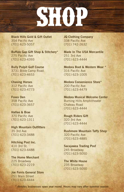## **SHOP**

**Black Hills Gold & Gift Outlet** 354 Pacific Ave (701) 623-5057

**Buffalo Gap Gift Shop & Stitchery\*** 275 Pacific Ave (701) 623-4393

**Bully Pulpit Golf Course** 3731 Bible Camp Road (701) 623-4653

**Chasing Horses** 312 Pacific Ave (701) 623-4773

**Foxes Den** 358 Pacific Ave (701) 623-3657

**Hatlee & Brae** 370 Pacific Ave (701) 623-1311

**High Mountain Outfitters** 35 3rd Ave (701) 623-3488

**Hitching Post Inc.** 410 3rd St. (701) 623-4488

**The Home Merchant** 225 Broadway (701) 623-2219

**Joe Ferris General Store** 251 Main Street (701) 623-4444

**JQ Clothing Company** 338 Pacific Ave (701) 742-2632

**Made In The USA Mercantile** 251 3rd Ave (701) 623-4444

**Medora Boot & Western Wear \*** 316 Pacific Ave (701) 623-1005

**Medora Convenience Store\*** 200 Pacific Ave (701) 623-4479

**Medora Musical Welcome Center** Burning Hills Amphitheater Chateau Road (701) 623-4444

**Rough Riders Gift** 320 3rd Ave (701) 623-4444

**Rushmore Mountain Taffy Shop** 320 Pacific Ave (701) 623-4885

**Sacajawea Trading Post** 245 Broadway (701) 623-5050

**The White House** 235 Broadway (701) 623-5050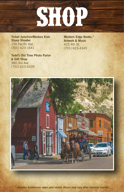

**Ticket Junction/Medora Kids Sharp Shooter** 150 Pacific Ave (701) 623-1641

**Todd's Old Time Photo Parlor & Gift Shop** 380 3rd Ave (701) 623-4339

**Western Edge Books,\* Artwork & Music** 425 4th St. (701) 623-4345

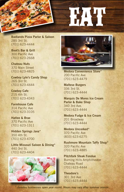

**Badlands Pizza Parlor & Saloon** 285 3rd St. (701) 623-4444

**Boot's Bar & Grill** 300 Pacific Ave (701) 623-2668

**Chateau Nuts** 370 Main Street (701) 623-4825

**Cowboy Lyle's Candy Shop** 265 3rd St. (701) 623-4444

**Cowboy Cafe** 215 4th St. (701) 623-4343

**Farmhouse Cafe** 314 Pacific Ave (701) 623-3105

**Hatlee & Brae** 370 Pacific Ave (701) 623-1311

**Hidden Springs Java\*** 350 4th St. (701) 623-4700

**Little Missouri Saloon & Dining\*** 440 3rd St. (701) 623-4404





**Medora Convenience Store\*** 200 Pacific Ave (701) 623-4479

**Maltese Burgers** 336 3rd St. (701) 623-4444

**Marquis De Mores Ice Cream Parlor & Bake Shop** 340 3rd Ave. (701) 623-4444

**Medora Fudge & Ice Cream** 201 Broadway (701) 623-4444

**Medora Uncorked\*** 370 Pacific Ave (833) 623-6275

**Rushmore Mountain Taffy Shop\*** 320 Pacific Ave (701) 623-4885

**Pitchfork Steak Fondue** Burning Hills Amphitheater Chateau Road (701) 623-4444

**Theodore's** 301 3rd Ave (701) 623-4444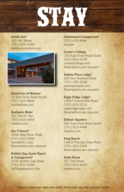

**Amble Inn\*** 425 4th Street (701) 623-4345 ambleinnmedora.com



**AmericInn of Medora\*** 75 East River Road South (701) 623-4800 visitmedora.com

**Badlands Motel** 501 Pacific Ave (701) 623-4444 medora.com

**Bar X Ranch\*** 3566 West River Road (701) 623-4300 barxranch1.com Reservations are required

**Buffalo Gap Guest Ranch & Campground\*** 3100 Buffalo Gap Road (701) 623-4200 buffalogapranch.com

**Cottonwood Campground\*** (701) 623-4466 nps.gov

**Custer's Cottage** 150 East River Road South (701) 623-4378 custerscottage.com Reservations are required

**Dakota Place Lodge\*** 630 Doc Hubbard Drive (701) 290-1038 dakotaplacend.com Reservations are required

**Eagle Ridge Lodge\*** 14937 Dutchmans Road (701) 623-2216 eagleridgelodge.com Reservations are required

**Elkhorn Quarters** 400 East River Road South (701) 623-4444 medora.com

**King Ranch** 14625 Plumely Draw Road (701) 623-5364 Reservations are required

**Hyde House** 347 3rd Street (701) 623-4444 medora.com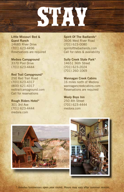

**Little Missouri Bed & Guest Ranch** 14685 River Drive (701) 623-4496 Reservations are required

**Medora Campground** 3370 Pool Drive (701) 623-4444

**Red Trail Campground\*** 250 Red Trail Road (701) 623-4317 (800) 621-4317 redtrailcampground.com Call for reservations

**Rough Riders Hotel\*** 301 3rd Ave (701) 623-4444 medora.com

**Spirit Of The Badlands\*** 3606 West River Road (701) 623-0080 spiritofthebadlands.com Call for rates & availability

**Sully Creek State Park\*** 14651 36th Street (701) 623-2024 (701) 260-1069

**Wannagan Creek Cabins** 16 miles north of Medora wannagancreekcabins.com Reservations are required

**Wooly Boys Inn** 250 4th Street (701) 623-4444 medora.com



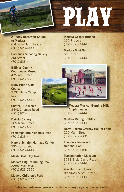

**A Teddy Roosevelt Salute to Medora** Old Town Hall Theatre (701) 623-4444

**Badlands Shooting Gallery** 3rd Street (701) 623-4444

**Billings County Courthouse Museum** 475 4th Street (701) 623-5829

**Bully Pulpit Golf Course** 3731 Bible Camp Road (701) 623-4444

**Chateau De Mores** 3448 Chateau Road (701) 623-4355

**Dakota Cyclery** 365 Main Street (701) 623-4808

**Footsteps Into Medora's Past** (701) 623-4444

**Harold Schafer Heritage Center** 335 4th Street (701) 623-4444

**Maah Daah Hey Trail**

**Medora City Swimming Pool** 3385 Pool Drive (701) 623-7665

**Medora Children's Park** (701) 623-4444

**Medora Gospel Brunch** 250 3rd Ave (701) 623-4444

**Medora Mini Golf** 5th Street (701) 623-4444



**Medora Musical Burning Hills Amphitheater** (701) 623-4444

**Medora Riding Stables** (701) 623-4444

**North Dakota Cowboy Hall of Fame** 250 Main Street (701) 623-2000

**Theodore Roosevelt National Park** (701) 623-4466

**Transportation Museum** 3731 Bible Camp Road (701) 623-4444

**Von Hoffman House** Broadway & 5th Street (701) 623-4444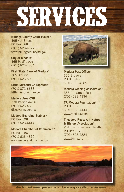# **SERVICES**

**Billings County Court House\***  495 4th Street PO Box 168 (701) 623-4377 www.billingscountynd.gov

**City of Medora\***  465 Pacific Ave (701) 623-4834

**First State Bank of Medora\***  365 3rd Ave (701) 623-5000

**Little Missouri Chiropractic\***  (701) 872-6688 littlemissourichiro.com

**Medora Area CVB\***  330 Pacific Ave #1 (701) 623-4830 discovermedora.com

**Medora Boarding Stables\***  PO Box 198 (701) 623-4444

**Medora Chamber of Commerce\***  PO Box 186 (701) 623-4810 www.medorandchamber.com



**Medora Post Office\***  355 3rd Ave PO Box 9998 (701) 623-4385

**Medora Grazing Association\***  355 4th Street East (701) 623-4336

**TR Medora Foundation\***  PO Box 198 (701) 623-4444 www.medora.com

**Theodore Roosevelt Nature & History Association\***  201 East River Road North PO Box 167 (701) 623-4884 www.trnha.org

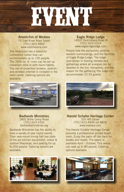

**AmericInn of Medora** 75 East River Road South (701) 623-4800 www.visitmedora.com

The AmericInn has a beautiful conference center that can accommodate up to 150 people. The 2000 sq. ft. room can be set up classroom style or with round tables. The use of projection screens, podium, and wireless internet is included in the room rental. Catering options are available.

#### **Eagle Ridge Lodge** 14937 Dutchmans Road W (701) 623-2216 www.eagleridgelodge.com

People love the exclusivity, pristine western surroundings, and the facilities of Eagle Ridge Lodge. The lodge specializes in hosting retreats and gatherings where all energies can be devoted to the fun, fellowship, and the reason for the gathering.The lodge can accommodate 22-23 guests.



**Badlands Ministries** 3892 Bible Camp Road (701) 623-4332 badlandsministries.org

Badlands Ministries has the ability to have a variety of year round events. Their year-round dining hall has state of the art kitchen equipment, indoor & outdoor fireplaces, and seating for up to 200 people. Catering options are available.





**Harold Schafer Heritage Center** 335 4th Street (701) 623-4444 ext.8828 www.medora.com

The Harold Schafer Heritage Center provides a professional private board room. Enjoy the patio off the back for breaks and meals. The space is available April - October. This venue can seat up to 80 people. Catering options available.

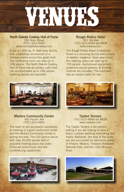# **VENUES**

**North Dakota Cowboy Hall of Fame** 250 Main Street (701) 623-2000 www.northdakotacowboy.com

Enjoy a 1,400 sq. ft. first-class facility with a backdrop reminiscent of a lifestyle envied across this great land. The conference room can seat up to 108 people. The North Dakota Cowboy Hall of Fame has an outdoor patio that can accommodate up to 200 people. Catering options are available.

#### **Rough Riders Hotel** 301 3rd Ave (701) 623-4444 ext.8828 www.medora.com

The Rough Riders Hotel Conference Room is a stunning facility with a touch of western elegance. Open year-round, the meeting space can seat up to 150 people. Audio/visual equipment, projectors,sound systems, & wireless Internet are included. The hotel also has an outdoor patio for use.



### **Medora Community Center** 465 Pacific Ave (701) 623-4834

The heart of any successful convention or meeting is a good conference center and the Medora Community Center is among the best. This full service venue with over 20,000 square feet of available meeting space has stateof-the-art audio/visual and teleconferencing capabilities.





**Tjaden Terrace** (701) 623-4444 ext.8828 www.medora.com

The Tjaden Terrace is the perfect setting if you are looking to have a scenic outdoor wedding overlooking the mystic Badlands. Set atop of the butte, you are surrounded by panoramic views of Historic Medora, Theodore Roosevelt National Park, and the Little Missouri River.